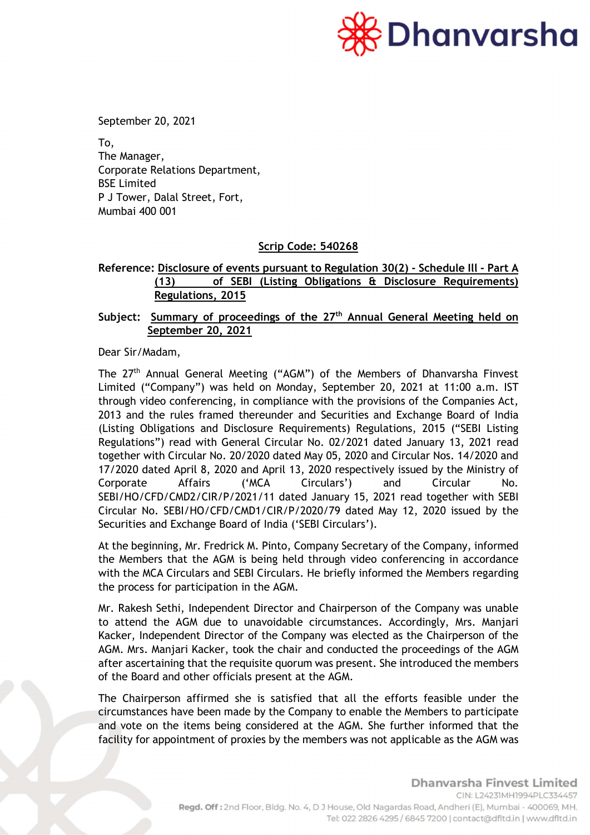

September 20, 2021

To, The Manager, Corporate Relations Department, BSE Limited P J Tower, Dalal Street, Fort, Mumbai 400 001

### Scrip Code: 540268

# Reference: Disclosure of events pursuant to Regulation 30(2) - Schedule Ill - Part A (13) of SEBI (Listing Obligations & Disclosure Requirements) Regulations, 2015

# Subject: Summary of proceedings of the 27<sup>th</sup> Annual General Meeting held on September 20, 2021

Dear Sir/Madam,

The 27<sup>th</sup> Annual General Meeting ("AGM") of the Members of Dhanvarsha Finvest Limited ("Company") was held on Monday, September 20, 2021 at 11:00 a.m. IST through video conferencing, in compliance with the provisions of the Companies Act, 2013 and the rules framed thereunder and Securities and Exchange Board of India (Listing Obligations and Disclosure Requirements) Regulations, 2015 ("SEBI Listing Regulations") read with General Circular No. 02/2021 dated January 13, 2021 read together with Circular No. 20/2020 dated May 05, 2020 and Circular Nos. 14/2020 and 17/2020 dated April 8, 2020 and April 13, 2020 respectively issued by the Ministry of Corporate Affairs ('MCA Circulars') and Circular No. SEBI/HO/CFD/CMD2/CIR/P/2021/11 dated January 15, 2021 read together with SEBI Circular No. SEBI/HO/CFD/CMD1/CIR/P/2020/79 dated May 12, 2020 issued by the Securities and Exchange Board of India ('SEBI Circulars').

At the beginning, Mr. Fredrick M. Pinto, Company Secretary of the Company, informed the Members that the AGM is being held through video conferencing in accordance with the MCA Circulars and SEBI Circulars. He briefly informed the Members regarding the process for participation in the AGM.

Mr. Rakesh Sethi, Independent Director and Chairperson of the Company was unable to attend the AGM due to unavoidable circumstances. Accordingly, Mrs. Manjari Kacker, Independent Director of the Company was elected as the Chairperson of the AGM. Mrs. Manjari Kacker, took the chair and conducted the proceedings of the AGM after ascertaining that the requisite quorum was present. She introduced the members of the Board and other officials present at the AGM.

The Chairperson affirmed she is satisfied that all the efforts feasible under the circumstances have been made by the Company to enable the Members to participate and vote on the items being considered at the AGM. She further informed that the facility for appointment of proxies by the members was not applicable as the AGM was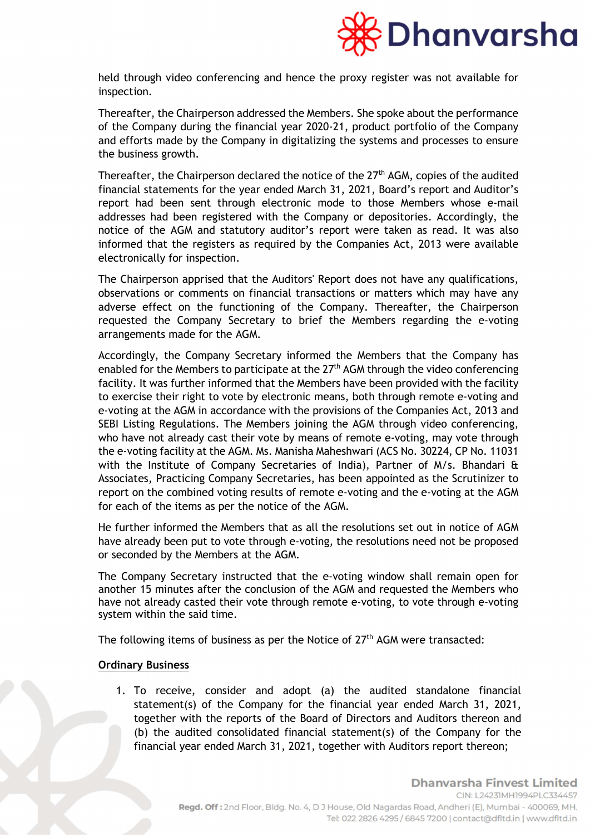

held through video conferencing and hence the proxy register was not available for inspection.

Thereafter, the Chairperson addressed the Members. She spoke about the performance of the Company during the financial year 2020-21, product portfolio of the Company and efforts made by the Company in digitalizing the systems and processes to ensure the business growth.

Thereafter, the Chairperson declared the notice of the  $27<sup>th</sup>$  AGM, copies of the audited financial statements for the year ended March 31, 2021, Board's report and Auditor's report had been sent through electronic mode to those Members whose e-mail addresses had been registered with the Company or depositories. Accordingly, the notice of the AGM and statutory auditor's report were taken as read. It was also informed that the registers as required by the Companies Act, 2013 were available electronically for inspection.

The Chairperson apprised that the Auditors' Report does not have any qualifications, observations or comments on financial transactions or matters which may have any adverse effect on the functioning of the Company. Thereafter, the Chairperson requested the Company Secretary to brief the Members regarding the e-voting arrangements made for the AGM.

Accordingly, the Company Secretary informed the Members that the Company has enabled for the Members to participate at the  $27<sup>th</sup>$  AGM through the video conferencing facility. It was further informed that the Members have been provided with the facility to exercise their right to vote by electronic means, both through remote e-voting and e-voting at the AGM in accordance with the provisions of the Companies Act, 2013 and SEBI Listing Regulations. The Members joining the AGM through video conferencing, who have not already cast their vote by means of remote e-voting, may vote through the e-voting facility at the AGM. Ms. Manisha Maheshwari (ACS No. 30224, CP No. 11031 with the Institute of Company Secretaries of India), Partner of M/s. Bhandari & Associates, Practicing Company Secretaries, has been appointed as the Scrutinizer to report on the combined voting results of remote e-voting and the e-voting at the AGM for each of the items as per the notice of the AGM.

He further informed the Members that as all the resolutions set out in notice of AGM have already been put to vote through e-voting, the resolutions need not be proposed or seconded by the Members at the AGM.

The Company Secretary instructed that the e-voting window shall remain open for another 15 minutes after the conclusion of the AGM and requested the Members who have not already casted their vote through remote e-voting, to vote through e-voting system within the said time.

The following items of business as per the Notice of  $27<sup>th</sup>$  AGM were transacted:

#### **Ordinary Business**

1. To receive, consider and adopt (a) the audited standalone financial statement(s) of the Company for the financial year ended March 31, 2021, together with the reports of the Board of Directors and Auditors thereon and (b) the audited consolidated financial statement(s) of the Company for the financial year ended March 31, 2021, together with Auditors report thereon;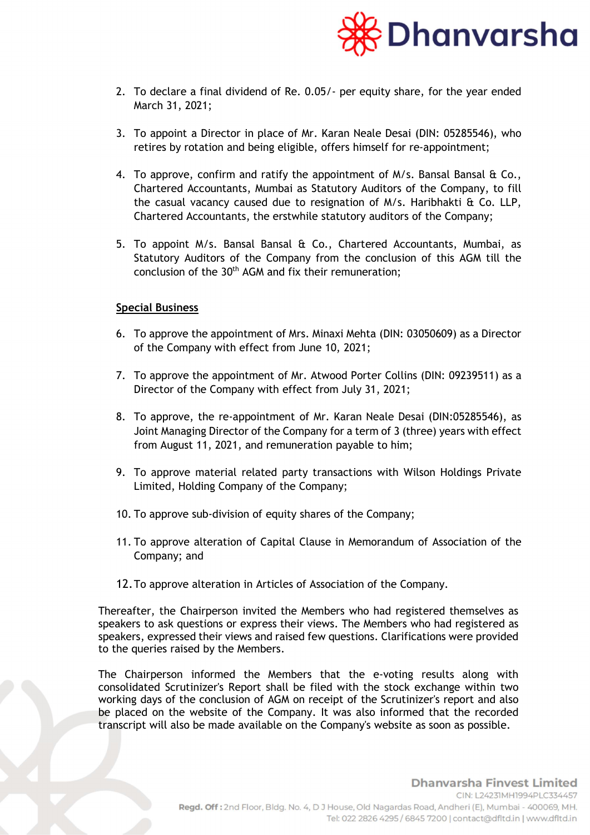

- 2. To declare a final dividend of Re. 0.05/- per equity share, for the year ended March 31, 2021;
- 3. To appoint a Director in place of Mr. Karan Neale Desai (DIN: 05285546), who retires by rotation and being eligible, offers himself for re-appointment;
- 4. To approve, confirm and ratify the appointment of  $M/s$ . Bansal Bansal & Co., Chartered Accountants, Mumbai as Statutory Auditors of the Company, to fill the casual vacancy caused due to resignation of M/s. Haribhakti & Co. LLP, Chartered Accountants, the erstwhile statutory auditors of the Company;
- 5. To appoint M/s. Bansal Bansal & Co., Chartered Accountants, Mumbai, as Statutory Auditors of the Company from the conclusion of this AGM till the conclusion of the  $30<sup>th</sup>$  AGM and fix their remuneration;

#### Special Business

- 6. To approve the appointment of Mrs. Minaxi Mehta (DIN: 03050609) as a Director of the Company with effect from June 10, 2021;
- 7. To approve the appointment of Mr. Atwood Porter Collins (DIN: 09239511) as a Director of the Company with effect from July 31, 2021;
- 8. To approve, the re-appointment of Mr. Karan Neale Desai (DIN:05285546), as Joint Managing Director of the Company for a term of 3 (three) years with effect from August 11, 2021, and remuneration payable to him;
- 9. To approve material related party transactions with Wilson Holdings Private Limited, Holding Company of the Company;
- 10. To approve sub-division of equity shares of the Company;
- 11. To approve alteration of Capital Clause in Memorandum of Association of the Company; and
- 12.To approve alteration in Articles of Association of the Company.

Thereafter, the Chairperson invited the Members who had registered themselves as speakers to ask questions or express their views. The Members who had registered as speakers, expressed their views and raised few questions. Clarifications were provided to the queries raised by the Members.

The Chairperson informed the Members that the e-voting results along with consolidated Scrutinizer's Report shall be filed with the stock exchange within two working days of the conclusion of AGM on receipt of the Scrutinizer's report and also be placed on the website of the Company. It was also informed that the recorded transcript will also be made available on the Company's website as soon as possible.